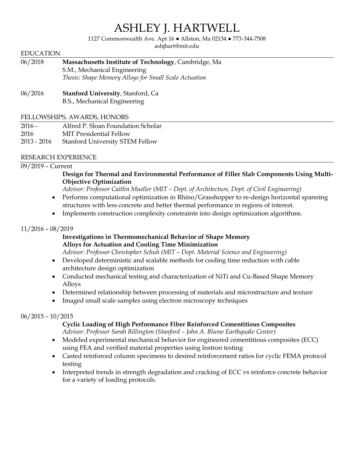# ASHLEY J. HARTWELL

1127 Commonwealth Ave. Apt 16 ● Allston, Ma 02134 ● 773-344-7508

ashjhart@mit.edu

#### EDUCATION

| 06/2018 | Massachusetts Institute of Technology, Cambridge, Ma  |
|---------|-------------------------------------------------------|
|         | S.M., Mechanical Engineering                          |
|         | Thesis: Shape Memory Alloys for Small Scale Actuation |

06/2016 **Stanford University**, Stanford, Ca B.S., Mechanical Engineering

#### FELLOWSHIPS, AWARDS, HONORS

| $2016 -$      | Alfred P. Sloan Foundation Scholar     |
|---------------|----------------------------------------|
| 2016          | <b>MIT Presidential Fellow</b>         |
| $2013 - 2016$ | <b>Stanford University STEM Fellow</b> |

## RESEARCH EXPERIENCE

#### 09/2019 – Current

## **Design for Thermal and Environmental Performance of Filler Slab Components Using Multi-Objective Optimization**

*Advisor: Professor Caitlin Mueller (MIT – Dept. of Architecture, Dept. of Civil Engineering)*

- Performs computational optimization in Rhino/Grasshopper to re-design horizontal spanning structures with less concrete and better thermal performance in regions of interest.
- Implements construction complexity constraints into design optimization algorithms.

# 11/2016 – 08/2019

# **Investigations in Thermomechanical Behavior of Shape Memory Alloys for Actuation and Cooling Time Minimization**

*Advisor: Professor Christopher Schuh (MIT – Dept. Material Science and Engineering)*

- Developed deterministic and scalable methods for cooling time reduction with cable architecture design optimization
- Conducted mechanical testing and characterization of NiTi and Cu-Based Shape Memory Alloys
- Determined relationship between processing of materials and microstructure and texture
- Imaged small scale samples using electron microscopy techniques

#### 06/2015 – 10/2015

# **Cyclic Loading of High Performance Fiber Reinforced Cementitious Composites**

*Advisor: Professor Sarah Billington (Stanford – John A. Blume Earthquake Center)*

- Modeled experimental mechanical behavior for engineered cementitious composites (ECC) using FEA and verified material properties using Instron testing
- Casted reinforced column specimens to desired reinforcement ratios for cyclic FEMA protocol testing
- Interpreted trends in strength degradation and cracking of ECC vs reinforce concrete behavior for a variety of loading protocols.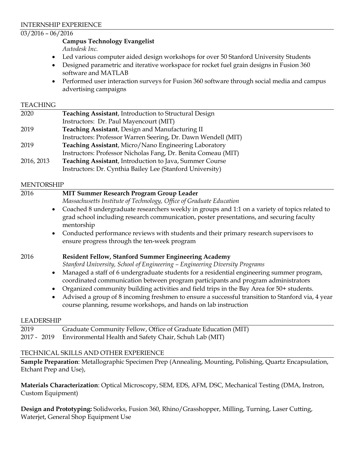#### 03/2016 – 06/2016

# **Campus Technology Evangelist**

*Autodesk Inc.*

- Led various computer aided design workshops for over 50 Stanford University Students
- Designed parametric and iterative workspace for rocket fuel grain designs in Fusion 360 software and MATLAB
- Performed user interaction surveys for Fusion 360 software through social media and campus advertising campaigns

#### **TEACHING**

| Teaching Assistant, Introduction to Structural Design          |
|----------------------------------------------------------------|
| Instructors: Dr. Paul Mayencourt (MIT)                         |
| Teaching Assistant, Design and Manufacturing II                |
| Instructors: Professor Warren Seering, Dr. Dawn Wendell (MIT)  |
| <b>Teaching Assistant, Micro/Nano Engineering Laboratory</b>   |
| Instructors: Professor Nicholas Fang, Dr. Benita Comeau (MIT)  |
| <b>Teaching Assistant, Introduction to Java, Summer Course</b> |
| Instructors: Dr. Cynthia Bailey Lee (Stanford University)      |
|                                                                |

#### MENTORSHIP

| 2016              | MIT Summer Research Program Group Leader                                                                                                                                                                                                                                                                                                                                                                                                                                                                                                                                                                                                |
|-------------------|-----------------------------------------------------------------------------------------------------------------------------------------------------------------------------------------------------------------------------------------------------------------------------------------------------------------------------------------------------------------------------------------------------------------------------------------------------------------------------------------------------------------------------------------------------------------------------------------------------------------------------------------|
|                   | Massachusetts Institute of Technology, Office of Graduate Education                                                                                                                                                                                                                                                                                                                                                                                                                                                                                                                                                                     |
|                   | Coached 8 undergraduate researchers weekly in groups and 1:1 on a variety of topics related to<br>$\bullet$<br>grad school including research communication, poster presentations, and securing faculty<br>mentorship                                                                                                                                                                                                                                                                                                                                                                                                                   |
|                   | Conducted performance reviews with students and their primary research supervisors to<br>$\bullet$<br>ensure progress through the ten-week program                                                                                                                                                                                                                                                                                                                                                                                                                                                                                      |
| 2016              | <b>Resident Fellow, Stanford Summer Engineering Academy</b><br>Stanford University, School of Engineering - Engineering Diversity Programs<br>Managed a staff of 6 undergraduate students for a residential engineering summer program,<br>$\bullet$<br>coordinated communication between program participants and program administrators<br>Organized community building activities and field trips in the Bay Area for 50+ students.<br>$\bullet$<br>Advised a group of 8 incoming freshmen to ensure a successful transition to Stanford via, 4 year<br>$\bullet$<br>course planning, resume workshops, and hands on lab instruction |
| <b>LEADERSHIP</b> |                                                                                                                                                                                                                                                                                                                                                                                                                                                                                                                                                                                                                                         |
| 2019              | Graduate Community Fellow, Office of Graduate Education (MIT)                                                                                                                                                                                                                                                                                                                                                                                                                                                                                                                                                                           |

# TECHNICAL SKILLS AND OTHER EXPERIENCE

2017 - 2019 Environmental Health and Safety Chair, Schuh Lab (MIT)

**Sample Preparation**: Metallographic Specimen Prep (Annealing, Mounting, Polishing, Quartz Encapsulation, Etchant Prep and Use),

**Materials Characterization**: Optical Microscopy, SEM, EDS, AFM, DSC, Mechanical Testing (DMA, Instron, Custom Equipment)

**Design and Prototyping:** Solidworks, Fusion 360, Rhino/Grasshopper, Milling, Turning, Laser Cutting, Waterjet, General Shop Equipment Use